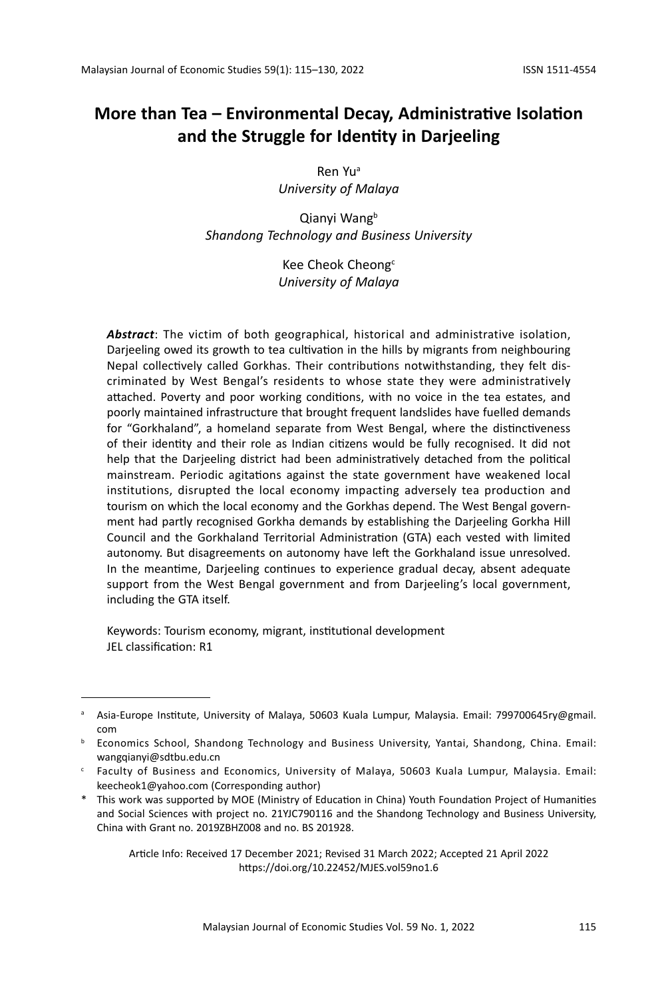Ren Yua *University of Malaya*

Qianvi Wang<sup>b</sup> *Shandong Technology and Business University*

> Kee Cheok Cheong<sup>c</sup> *University of Malaya*

*Abstract*: The victim of both geographical, historical and administrative isolation, Darjeeling owed its growth to tea cultivation in the hills by migrants from neighbouring Nepal collectively called Gorkhas. Their contributions notwithstanding, they felt discriminated by West Bengal's residents to whose state they were administratively attached. Poverty and poor working conditions, with no voice in the tea estates, and poorly maintained infrastructure that brought frequent landslides have fuelled demands for "Gorkhaland", a homeland separate from West Bengal, where the distinctiveness of their identity and their role as Indian citizens would be fully recognised. It did not help that the Darjeeling district had been administratively detached from the political mainstream. Periodic agitations against the state government have weakened local institutions, disrupted the local economy impacting adversely tea production and tourism on which the local economy and the Gorkhas depend. The West Bengal government had partly recognised Gorkha demands by establishing the Darjeeling Gorkha Hill Council and the Gorkhaland Territorial Administration (GTA) each vested with limited autonomy. But disagreements on autonomy have left the Gorkhaland issue unresolved. In the meantime, Darjeeling continues to experience gradual decay, absent adequate support from the West Bengal government and from Darjeeling's local government, including the GTA itself.

Keywords: Tourism economy, migrant, institutional development JEL classification: R1

Article Info: Received 17 December 2021; Revised 31 March 2022; Accepted 21 April 2022 https://doi.org/10.22452/MJES.vol59no1.6

a Asia-Europe Institute, University of Malaya, 50603 Kuala Lumpur, Malaysia. Email: 799700645ry@gmail. com

<sup>b</sup> Economics School, Shandong Technology and Business University, Yantai, Shandong, China. Email: wangqianyi@sdtbu.edu.cn

<sup>c</sup> Faculty of Business and Economics, University of Malaya, 50603 Kuala Lumpur, Malaysia. Email: keecheok1@yahoo.com (Corresponding author)

<sup>\*</sup> This work was supported by MOE (Ministry of Education in China) Youth Foundation Project of Humanities and Social Sciences with project no. 21YJC790116 and the Shandong Technology and Business University, China with Grant no. 2019ZBHZ008 and no. BS 201928.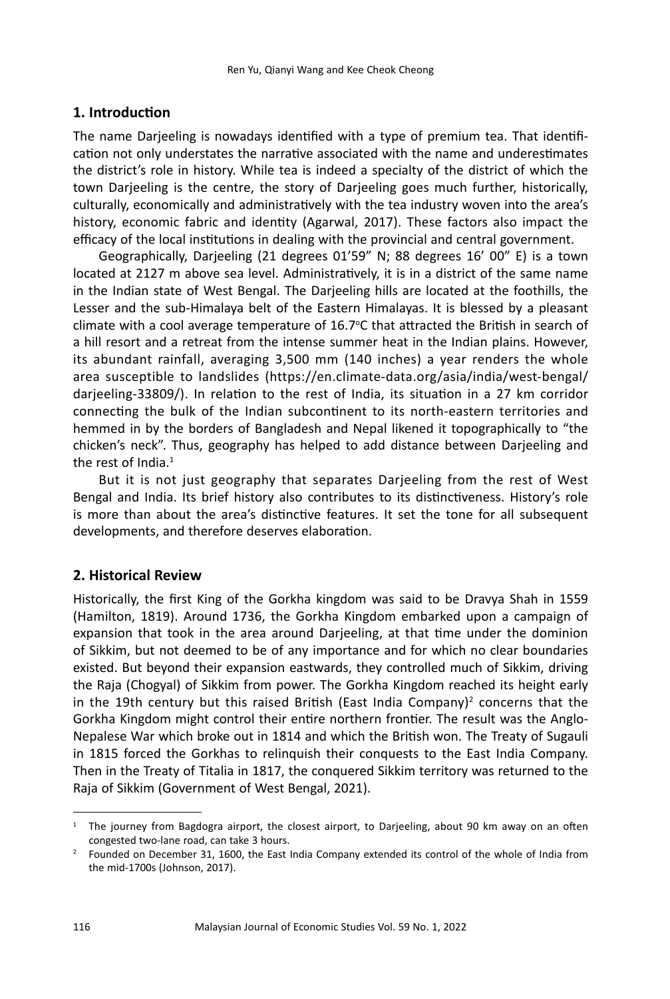## **1. Introduction**

The name Darjeeling is nowadays identified with a type of premium tea. That identification not only understates the narrative associated with the name and underestimates the district's role in history. While tea is indeed a specialty of the district of which the town Darjeeling is the centre, the story of Darjeeling goes much further, historically, culturally, economically and administratively with the tea industry woven into the area's history, economic fabric and identity (Agarwal, 2017). These factors also impact the efficacy of the local institutions in dealing with the provincial and central government.

Geographically, Darjeeling (21 degrees 01'59" N; 88 degrees 16' 00" E) is a town located at 2127 m above sea level. Administratively, it is in a district of the same name in the Indian state of West Bengal. The Darjeeling hills are located at the foothills, the Lesser and the sub-Himalaya belt of the Eastern Himalayas. It is blessed by a pleasant climate with a cool average temperature of 16.7°C that attracted the British in search of a hill resort and a retreat from the intense summer heat in the Indian plains. However, its abundant rainfall, averaging 3,500 mm (140 inches) a year renders the whole area susceptible to landslides (https://en.climate-data.org/asia/india/west-bengal/ darjeeling-33809/). In relation to the rest of India, its situation in a 27 km corridor connecting the bulk of the Indian subcontinent to its north-eastern territories and hemmed in by the borders of Bangladesh and Nepal likened it topographically to "the chicken's neck". Thus, geography has helped to add distance between Darjeeling and the rest of India. $1$ 

But it is not just geography that separates Darjeeling from the rest of West Bengal and India. Its brief history also contributes to its distinctiveness. History's role is more than about the area's distinctive features. It set the tone for all subsequent developments, and therefore deserves elaboration.

## **2. Historical Review**

Historically, the first King of the Gorkha kingdom was said to be Dravya Shah in 1559 (Hamilton, 1819). Around 1736, the Gorkha Kingdom embarked upon a campaign of expansion that took in the area around Darjeeling, at that time under the dominion of Sikkim, but not deemed to be of any importance and for which no clear boundaries existed. But beyond their expansion eastwards, they controlled much of Sikkim, driving the Raja (Chogyal) of Sikkim from power. The Gorkha Kingdom reached its height early in the 19th century but this raised British (East India Company)<sup>2</sup> concerns that the Gorkha Kingdom might control their entire northern frontier. The result was the Anglo-Nepalese War which broke out in 1814 and which the British won. The Treaty of Sugauli in 1815 forced the Gorkhas to relinquish their conquests to the East India Company. Then in the Treaty of Titalia in 1817, the conquered Sikkim territory was returned to the Raja of Sikkim (Government of West Bengal, 2021).

 $1$  The journey from Bagdogra airport, the closest airport, to Darjeeling, about 90 km away on an often

congested two-lane road, can take 3 hours.<br><sup>2</sup> Founded on December 31, 1600, the East India Company extended its control of the whole of India from the mid-1700s (Johnson, 2017).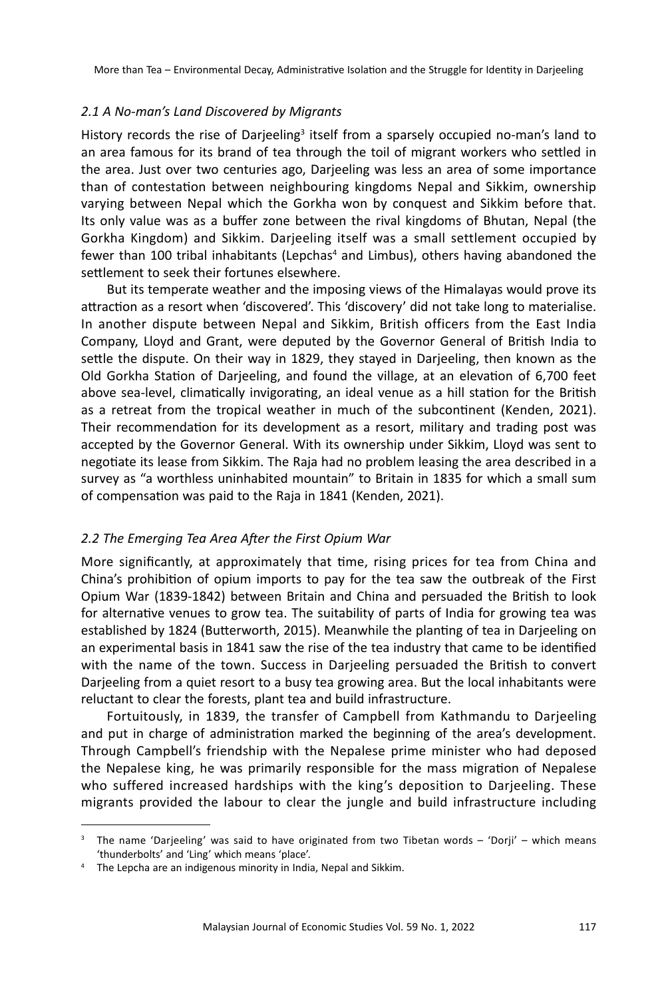#### *2.1 A No-man's Land Discovered by Migrants*

History records the rise of Darjeeling<sup>3</sup> itself from a sparsely occupied no-man's land to an area famous for its brand of tea through the toil of migrant workers who settled in the area. Just over two centuries ago, Darjeeling was less an area of some importance than of contestation between neighbouring kingdoms Nepal and Sikkim, ownership varying between Nepal which the Gorkha won by conquest and Sikkim before that. Its only value was as a buffer zone between the rival kingdoms of Bhutan, Nepal (the Gorkha Kingdom) and Sikkim. Darjeeling itself was a small settlement occupied by fewer than 100 tribal inhabitants (Lepchas<sup>4</sup> and Limbus), others having abandoned the settlement to seek their fortunes elsewhere.

But its temperate weather and the imposing views of the Himalayas would prove its attraction as a resort when 'discovered'. This 'discovery' did not take long to materialise. In another dispute between Nepal and Sikkim, British officers from the East India Company, Lloyd and Grant, were deputed by the Governor General of British India to settle the dispute. On their way in 1829, they stayed in Darjeeling, then known as the Old Gorkha Station of Darjeeling, and found the village, at an elevation of 6,700 feet above sea-level, climatically invigorating, an ideal venue as a hill station for the British as a retreat from the tropical weather in much of the subcontinent (Kenden, 2021). Their recommendation for its development as a resort, military and trading post was accepted by the Governor General. With its ownership under Sikkim, Lloyd was sent to negotiate its lease from Sikkim. The Raja had no problem leasing the area described in a survey as "a worthless uninhabited mountain" to Britain in 1835 for which a small sum of compensation was paid to the Raja in 1841 (Kenden, 2021).

#### *2.2 The Emerging Tea Area After the First Opium War*

More significantly, at approximately that time, rising prices for tea from China and China's prohibition of opium imports to pay for the tea saw the outbreak of the First Opium War (1839-1842) between Britain and China and persuaded the British to look for alternative venues to grow tea. The suitability of parts of India for growing tea was established by 1824 (Butterworth, 2015). Meanwhile the planting of tea in Darjeeling on an experimental basis in 1841 saw the rise of the tea industry that came to be identified with the name of the town. Success in Darjeeling persuaded the British to convert Darjeeling from a quiet resort to a busy tea growing area. But the local inhabitants were reluctant to clear the forests, plant tea and build infrastructure.

Fortuitously, in 1839, the transfer of Campbell from Kathmandu to Darjeeling and put in charge of administration marked the beginning of the area's development. Through Campbell's friendship with the Nepalese prime minister who had deposed the Nepalese king, he was primarily responsible for the mass migration of Nepalese who suffered increased hardships with the king's deposition to Darjeeling. These migrants provided the labour to clear the jungle and build infrastructure including

<sup>&</sup>lt;sup>3</sup> The name 'Darjeeling' was said to have originated from two Tibetan words – 'Dorji' – which means 'thunderbolts' and 'Ling' which means 'place'.

<sup>&</sup>lt;sup>4</sup> The Lepcha are an indigenous minority in India, Nepal and Sikkim.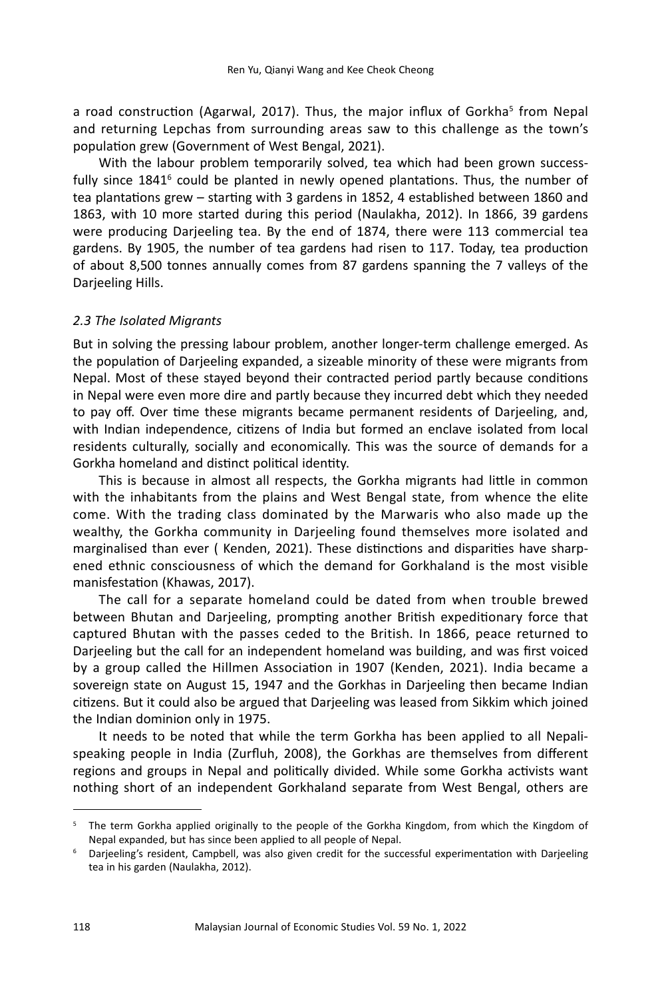a road construction (Agarwal, 2017). Thus, the major influx of Gorkha<sup>s</sup> from Nepal and returning Lepchas from surrounding areas saw to this challenge as the town's population grew (Government of West Bengal, 2021).

With the labour problem temporarily solved, tea which had been grown successfully since  $1841^{\circ}$  could be planted in newly opened plantations. Thus, the number of tea plantations grew – starting with 3 gardens in 1852, 4 established between 1860 and 1863, with 10 more started during this period (Naulakha, 2012). In 1866, 39 gardens were producing Darjeeling tea. By the end of 1874, there were 113 commercial tea gardens. By 1905, the number of tea gardens had risen to 117. Today, tea production of about 8,500 tonnes annually comes from 87 gardens spanning the 7 valleys of the Darjeeling Hills.

#### *2.3 The Isolated Migrants*

But in solving the pressing labour problem, another longer-term challenge emerged. As the population of Darjeeling expanded, a sizeable minority of these were migrants from Nepal. Most of these stayed beyond their contracted period partly because conditions in Nepal were even more dire and partly because they incurred debt which they needed to pay off. Over time these migrants became permanent residents of Darjeeling, and, with Indian independence, citizens of India but formed an enclave isolated from local residents culturally, socially and economically. This was the source of demands for a Gorkha homeland and distinct political identity.

This is because in almost all respects, the Gorkha migrants had little in common with the inhabitants from the plains and West Bengal state, from whence the elite come. With the trading class dominated by the Marwaris who also made up the wealthy, the Gorkha community in Darjeeling found themselves more isolated and marginalised than ever ( Kenden, 2021). These distinctions and disparities have sharpened ethnic consciousness of which the demand for Gorkhaland is the most visible manisfestation (Khawas, 2017).

The call for a separate homeland could be dated from when trouble brewed between Bhutan and Darjeeling, prompting another British expeditionary force that captured Bhutan with the passes ceded to the British. In 1866, peace returned to Darjeeling but the call for an independent homeland was building, and was first voiced by a group called the Hillmen Association in 1907 (Kenden, 2021). India became a sovereign state on August 15, 1947 and the Gorkhas in Darjeeling then became Indian citizens. But it could also be argued that Darjeeling was leased from Sikkim which joined the Indian dominion only in 1975.

It needs to be noted that while the term Gorkha has been applied to all Nepalispeaking people in India (Zurfluh, 2008), the Gorkhas are themselves from different regions and groups in Nepal and politically divided. While some Gorkha activists want nothing short of an independent Gorkhaland separate from West Bengal, others are

<sup>&</sup>lt;sup>5</sup> The term Gorkha applied originally to the people of the Gorkha Kingdom, from which the Kingdom of Nepal expanded, but has since been applied to all people of Nepal.

<sup>6</sup> Darjeeling's resident, Campbell, was also given credit for the successful experimentation with Darjeeling tea in his garden (Naulakha, 2012).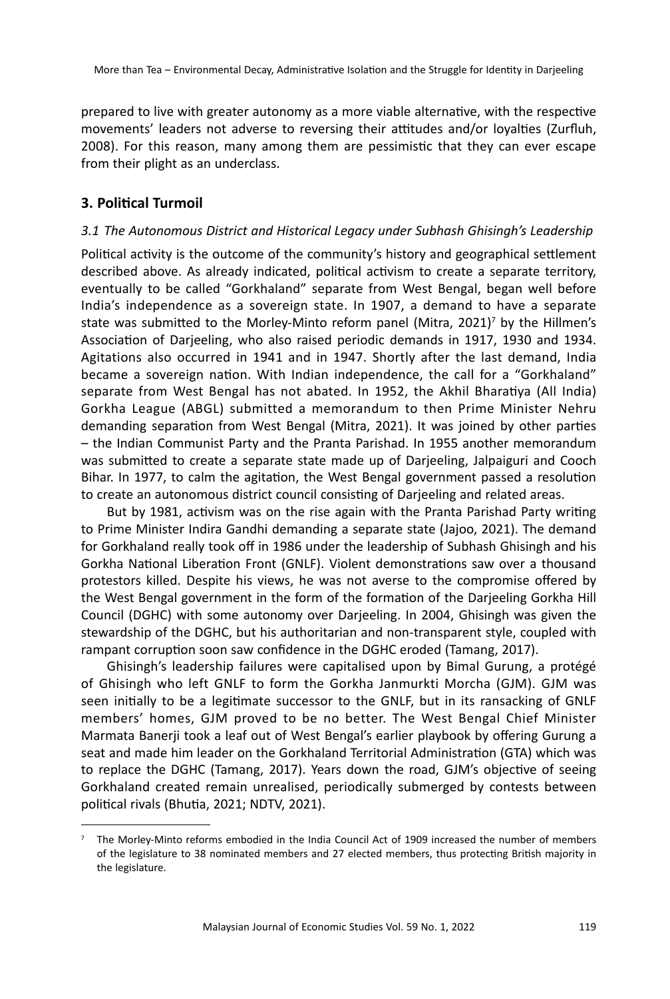prepared to live with greater autonomy as a more viable alternative, with the respective movements' leaders not adverse to reversing their attitudes and/or loyalties (Zurfluh, 2008). For this reason, many among them are pessimistic that they can ever escape from their plight as an underclass.

# **3. Political Turmoil**

## *3.1 The Autonomous District and Historical Legacy under Subhash Ghisingh's Leadership*

Political activity is the outcome of the community's history and geographical settlement described above. As already indicated, political activism to create a separate territory, eventually to be called "Gorkhaland" separate from West Bengal, began well before India's independence as a sovereign state. In 1907, a demand to have a separate state was submitted to the Morley-Minto reform panel (Mitra, 2021)<sup>7</sup> by the Hillmen's Association of Darjeeling, who also raised periodic demands in 1917, 1930 and 1934. Agitations also occurred in 1941 and in 1947. Shortly after the last demand, India became a sovereign nation. With Indian independence, the call for a "Gorkhaland" separate from West Bengal has not abated. In 1952, the Akhil Bharatiya (All India) Gorkha League (ABGL) submitted a memorandum to then Prime Minister Nehru demanding separation from West Bengal (Mitra, 2021). It was joined by other parties – the Indian Communist Party and the Pranta Parishad. In 1955 another memorandum was submitted to create a separate state made up of Darjeeling, Jalpaiguri and Cooch Bihar. In 1977, to calm the agitation, the West Bengal government passed a resolution to create an autonomous district council consisting of Darjeeling and related areas.

But by 1981, activism was on the rise again with the Pranta Parishad Party writing to Prime Minister Indira Gandhi demanding a separate state (Jajoo, 2021). The demand for Gorkhaland really took off in 1986 under the leadership of Subhash Ghisingh and his Gorkha National Liberation Front (GNLF). Violent demonstrations saw over a thousand protestors killed. Despite his views, he was not averse to the compromise offered by the West Bengal government in the form of the formation of the Darjeeling Gorkha Hill Council (DGHC) with some autonomy over Darjeeling. In 2004, Ghisingh was given the stewardship of the DGHC, but his authoritarian and non-transparent style, coupled with rampant corruption soon saw confidence in the DGHC eroded (Tamang, 2017).

Ghisingh's leadership failures were capitalised upon by Bimal Gurung, a protégé of Ghisingh who left GNLF to form the Gorkha Janmurkti Morcha (GJM). GJM was seen initially to be a legitimate successor to the GNLF, but in its ransacking of GNLF members' homes, GJM proved to be no better. The West Bengal Chief Minister Marmata Banerji took a leaf out of West Bengal's earlier playbook by offering Gurung a seat and made him leader on the Gorkhaland Territorial Administration (GTA) which was to replace the DGHC (Tamang, 2017). Years down the road, GJM's objective of seeing Gorkhaland created remain unrealised, periodically submerged by contests between political rivals (Bhutia, 2021; NDTV, 2021).

 $<sup>7</sup>$  The Morley-Minto reforms embodied in the India Council Act of 1909 increased the number of members</sup> of the legislature to 38 nominated members and 27 elected members, thus protecting British majority in the legislature.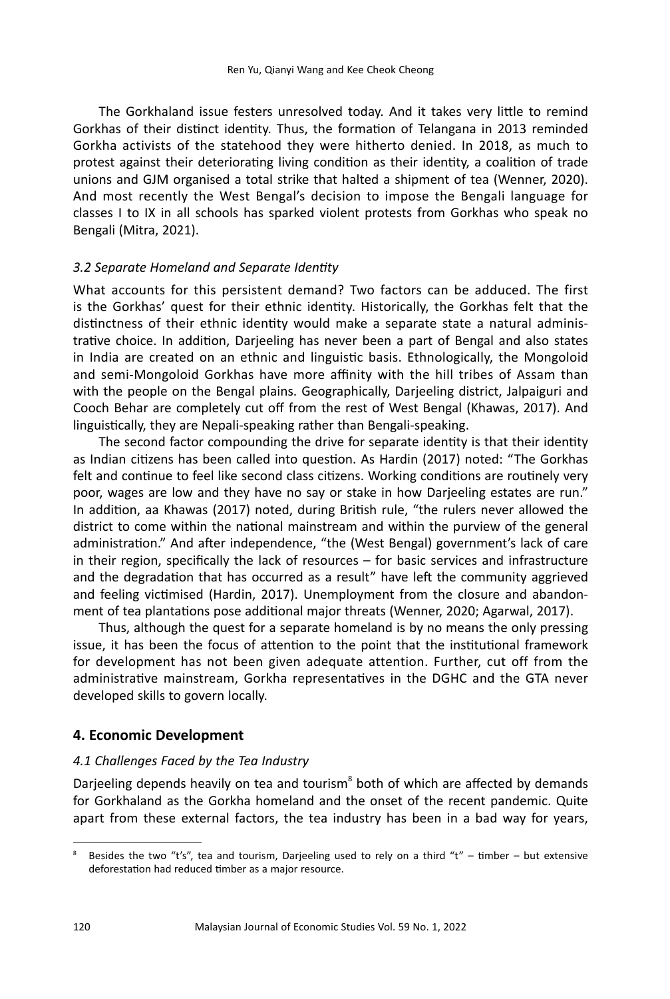The Gorkhaland issue festers unresolved today. And it takes very little to remind Gorkhas of their distinct identity. Thus, the formation of Telangana in 2013 reminded Gorkha activists of the statehood they were hitherto denied. In 2018, as much to protest against their deteriorating living condition as their identity, a coalition of trade unions and GJM organised a total strike that halted a shipment of tea (Wenner, 2020). And most recently the West Bengal's decision to impose the Bengali language for classes I to IX in all schools has sparked violent protests from Gorkhas who speak no Bengali (Mitra, 2021).

## *3.2 Separate Homeland and Separate Identity*

What accounts for this persistent demand? Two factors can be adduced. The first is the Gorkhas' quest for their ethnic identity. Historically, the Gorkhas felt that the distinctness of their ethnic identity would make a separate state a natural administrative choice. In addition, Darjeeling has never been a part of Bengal and also states in India are created on an ethnic and linguistic basis. Ethnologically, the Mongoloid and semi-Mongoloid Gorkhas have more affinity with the hill tribes of Assam than with the people on the Bengal plains. Geographically, Darjeeling district, Jalpaiguri and Cooch Behar are completely cut off from the rest of West Bengal (Khawas, 2017). And linguistically, they are Nepali-speaking rather than Bengali-speaking.

The second factor compounding the drive for separate identity is that their identity as Indian citizens has been called into question. As Hardin (2017) noted: "The Gorkhas felt and continue to feel like second class citizens. Working conditions are routinely very poor, wages are low and they have no say or stake in how Darjeeling estates are run." In addition, aa Khawas (2017) noted, during British rule, "the rulers never allowed the district to come within the national mainstream and within the purview of the general administration." And after independence, "the (West Bengal) government's lack of care in their region, specifically the lack of resources – for basic services and infrastructure and the degradation that has occurred as a result" have left the community aggrieved and feeling victimised (Hardin, 2017). Unemployment from the closure and abandonment of tea plantations pose additional major threats (Wenner, 2020; Agarwal, 2017).

Thus, although the quest for a separate homeland is by no means the only pressing issue, it has been the focus of attention to the point that the institutional framework for development has not been given adequate attention. Further, cut off from the administrative mainstream, Gorkha representatives in the DGHC and the GTA never developed skills to govern locally.

# **4. Economic Development**

## *4.1 Challenges Faced by the Tea Industry*

Darjeeling depends heavily on tea and tourism<sup>8</sup> both of which are affected by demands for Gorkhaland as the Gorkha homeland and the onset of the recent pandemic. Quite apart from these external factors, the tea industry has been in a bad way for years,

Besides the two "t's", tea and tourism, Darjeeling used to rely on a third "t" – timber – but extensive deforestation had reduced timber as a major resource.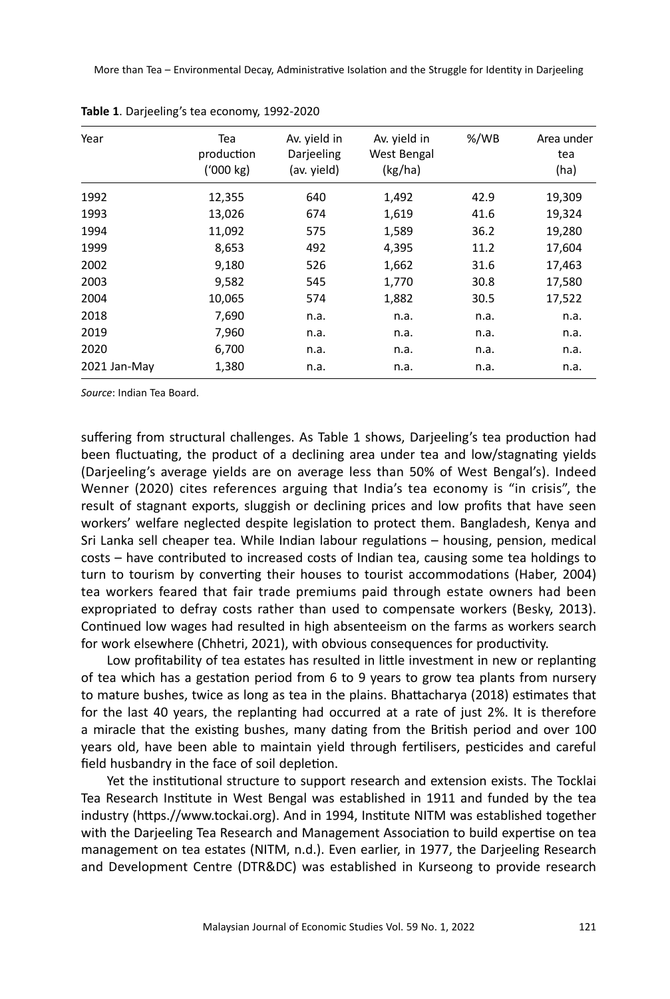| Year         | Tea<br>production<br>(1000 kg) | Av. yield in<br>Darjeeling<br>(av. yield) | Av. yield in<br>West Bengal<br>(kg/ha) | $% /$ WB | Area under<br>tea<br>(ha) |
|--------------|--------------------------------|-------------------------------------------|----------------------------------------|----------|---------------------------|
| 1992         | 12,355                         | 640                                       | 1,492                                  | 42.9     | 19,309                    |
| 1993         | 13,026                         | 674                                       | 1,619                                  | 41.6     | 19,324                    |
| 1994         | 11,092                         | 575                                       | 1,589                                  | 36.2     | 19,280                    |
| 1999         | 8,653                          | 492                                       | 4,395                                  | 11.2     | 17,604                    |
| 2002         | 9,180                          | 526                                       | 1,662                                  | 31.6     | 17,463                    |
| 2003         | 9,582                          | 545                                       | 1,770                                  | 30.8     | 17,580                    |
| 2004         | 10,065                         | 574                                       | 1,882                                  | 30.5     | 17,522                    |
| 2018         | 7,690                          | n.a.                                      | n.a.                                   | n.a.     | n.a.                      |
| 2019         | 7,960                          | n.a.                                      | n.a.                                   | n.a.     | n.a.                      |
| 2020         | 6,700                          | n.a.                                      | n.a.                                   | n.a.     | n.a.                      |
| 2021 Jan-May | 1,380                          | n.a.                                      | n.a.                                   | n.a.     | n.a.                      |

|  |  | Table 1. Darjeeling's tea economy, 1992-2020 |  |
|--|--|----------------------------------------------|--|
|--|--|----------------------------------------------|--|

*Source*: Indian Tea Board.

suffering from structural challenges. As Table 1 shows, Darjeeling's tea production had been fluctuating, the product of a declining area under tea and low/stagnating yields (Darjeeling's average yields are on average less than 50% of West Bengal's). Indeed Wenner (2020) cites references arguing that India's tea economy is "in crisis", the result of stagnant exports, sluggish or declining prices and low profits that have seen workers' welfare neglected despite legislation to protect them. Bangladesh, Kenya and Sri Lanka sell cheaper tea. While Indian labour regulations – housing, pension, medical costs – have contributed to increased costs of Indian tea, causing some tea holdings to turn to tourism by converting their houses to tourist accommodations (Haber, 2004) tea workers feared that fair trade premiums paid through estate owners had been expropriated to defray costs rather than used to compensate workers (Besky, 2013). Continued low wages had resulted in high absenteeism on the farms as workers search for work elsewhere (Chhetri, 2021), with obvious consequences for productivity.

Low profitability of tea estates has resulted in little investment in new or replanting of tea which has a gestation period from 6 to 9 years to grow tea plants from nursery to mature bushes, twice as long as tea in the plains. Bhattacharya (2018) estimates that for the last 40 years, the replanting had occurred at a rate of just 2%. It is therefore a miracle that the existing bushes, many dating from the British period and over 100 years old, have been able to maintain yield through fertilisers, pesticides and careful field husbandry in the face of soil depletion.

Yet the institutional structure to support research and extension exists. The Tocklai Tea Research Institute in West Bengal was established in 1911 and funded by the tea industry (https.//www.tockai.org). And in 1994, Institute NITM was established together with the Darjeeling Tea Research and Management Association to build expertise on tea management on tea estates (NITM, n.d.). Even earlier, in 1977, the Darjeeling Research and Development Centre (DTR&DC) was established in Kurseong to provide research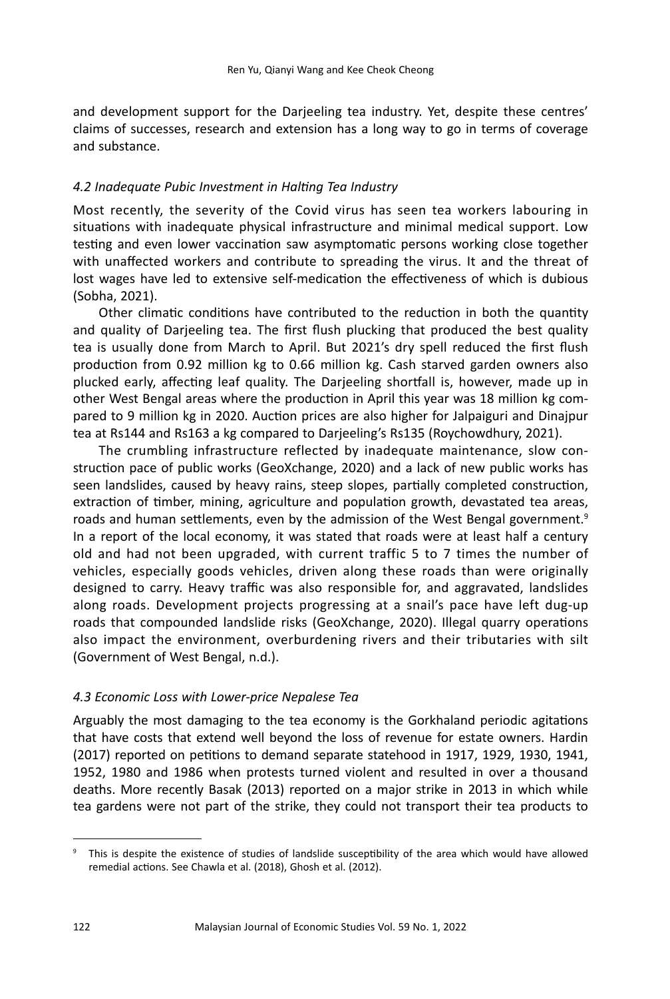and development support for the Darjeeling tea industry. Yet, despite these centres' claims of successes, research and extension has a long way to go in terms of coverage and substance.

#### *4.2 Inadequate Pubic Investment in Halting Tea Industry*

Most recently, the severity of the Covid virus has seen tea workers labouring in situations with inadequate physical infrastructure and minimal medical support. Low testing and even lower vaccination saw asymptomatic persons working close together with unaffected workers and contribute to spreading the virus. It and the threat of lost wages have led to extensive self-medication the effectiveness of which is dubious (Sobha, 2021).

Other climatic conditions have contributed to the reduction in both the quantity and quality of Darjeeling tea. The first flush plucking that produced the best quality tea is usually done from March to April. But 2021's dry spell reduced the first flush production from 0.92 million kg to 0.66 million kg. Cash starved garden owners also plucked early, affecting leaf quality. The Darjeeling shortfall is, however, made up in other West Bengal areas where the production in April this year was 18 million kg compared to 9 million kg in 2020. Auction prices are also higher for Jalpaiguri and Dinajpur tea at Rs144 and Rs163 a kg compared to Darjeeling's Rs135 (Roychowdhury, 2021).

The crumbling infrastructure reflected by inadequate maintenance, slow construction pace of public works (GeoXchange, 2020) and a lack of new public works has seen landslides, caused by heavy rains, steep slopes, partially completed construction, extraction of timber, mining, agriculture and population growth, devastated tea areas, roads and human settlements, even by the admission of the West Bengal government.<sup>9</sup> In a report of the local economy, it was stated that roads were at least half a century old and had not been upgraded, with current traffic 5 to 7 times the number of vehicles, especially goods vehicles, driven along these roads than were originally designed to carry. Heavy traffic was also responsible for, and aggravated, landslides along roads. Development projects progressing at a snail's pace have left dug-up roads that compounded landslide risks (GeoXchange, 2020). Illegal quarry operations also impact the environment, overburdening rivers and their tributaries with silt (Government of West Bengal, n.d.).

#### *4.3 Economic Loss with Lower-price Nepalese Tea*

Arguably the most damaging to the tea economy is the Gorkhaland periodic agitations that have costs that extend well beyond the loss of revenue for estate owners. Hardin (2017) reported on petitions to demand separate statehood in 1917, 1929, 1930, 1941, 1952, 1980 and 1986 when protests turned violent and resulted in over a thousand deaths. More recently Basak (2013) reported on a major strike in 2013 in which while tea gardens were not part of the strike, they could not transport their tea products to

<sup>9</sup> This is despite the existence of studies of landslide susceptibility of the area which would have allowed remedial actions. See Chawla et al. (2018), Ghosh et al. (2012).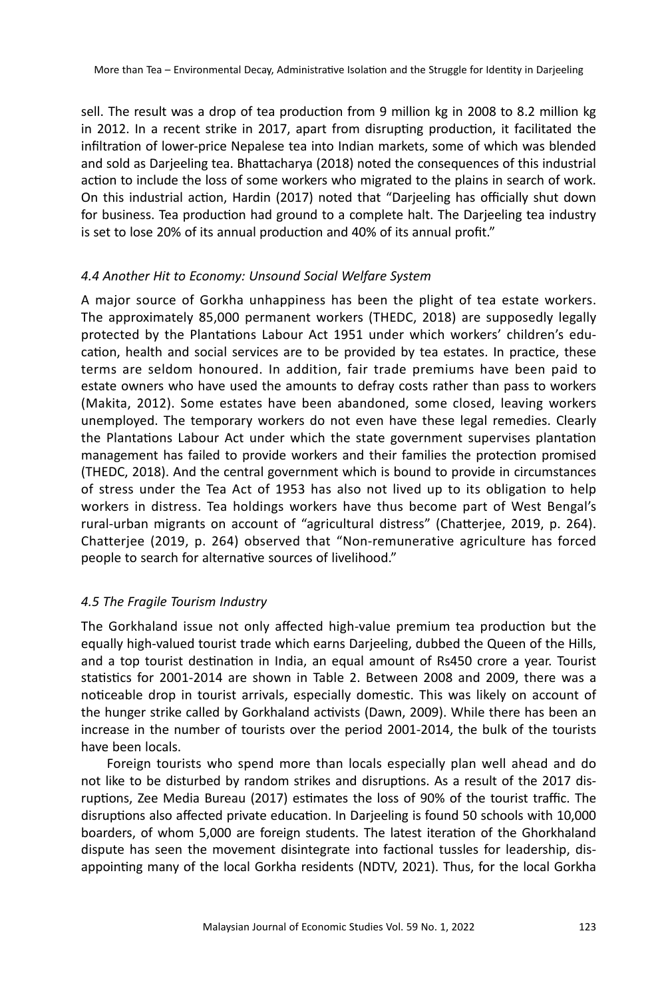sell. The result was a drop of tea production from 9 million kg in 2008 to 8.2 million kg in 2012. In a recent strike in 2017, apart from disrupting production, it facilitated the infiltration of lower-price Nepalese tea into Indian markets, some of which was blended and sold as Darjeeling tea. Bhattacharya (2018) noted the consequences of this industrial action to include the loss of some workers who migrated to the plains in search of work. On this industrial action, Hardin (2017) noted that "Darjeeling has officially shut down for business. Tea production had ground to a complete halt. The Darjeeling tea industry is set to lose 20% of its annual production and 40% of its annual profit."

## *4.4 Another Hit to Economy: Unsound Social Welfare System*

A major source of Gorkha unhappiness has been the plight of tea estate workers. The approximately 85,000 permanent workers (THEDC, 2018) are supposedly legally protected by the Plantations Labour Act 1951 under which workers' children's education, health and social services are to be provided by tea estates. In practice, these terms are seldom honoured. In addition, fair trade premiums have been paid to estate owners who have used the amounts to defray costs rather than pass to workers (Makita, 2012). Some estates have been abandoned, some closed, leaving workers unemployed. The temporary workers do not even have these legal remedies. Clearly the Plantations Labour Act under which the state government supervises plantation management has failed to provide workers and their families the protection promised (THEDC, 2018). And the central government which is bound to provide in circumstances of stress under the Tea Act of 1953 has also not lived up to its obligation to help workers in distress. Tea holdings workers have thus become part of West Bengal's rural-urban migrants on account of "agricultural distress" (Chatterjee, 2019, p. 264). Chatterjee (2019, p. 264) observed that "Non-remunerative agriculture has forced people to search for alternative sources of livelihood."

# *4.5 The Fragile Tourism Industry*

The Gorkhaland issue not only affected high-value premium tea production but the equally high-valued tourist trade which earns Darjeeling, dubbed the Queen of the Hills, and a top tourist destination in India, an equal amount of Rs450 crore a year. Tourist statistics for 2001-2014 are shown in Table 2. Between 2008 and 2009, there was a noticeable drop in tourist arrivals, especially domestic. This was likely on account of the hunger strike called by Gorkhaland activists (Dawn, 2009). While there has been an increase in the number of tourists over the period 2001-2014, the bulk of the tourists have been locals.

Foreign tourists who spend more than locals especially plan well ahead and do not like to be disturbed by random strikes and disruptions. As a result of the 2017 disruptions, Zee Media Bureau (2017) estimates the loss of 90% of the tourist traffic. The disruptions also affected private education. In Darjeeling is found 50 schools with 10,000 boarders, of whom 5,000 are foreign students. The latest iteration of the Ghorkhaland dispute has seen the movement disintegrate into factional tussles for leadership, disappointing many of the local Gorkha residents (NDTV, 2021). Thus, for the local Gorkha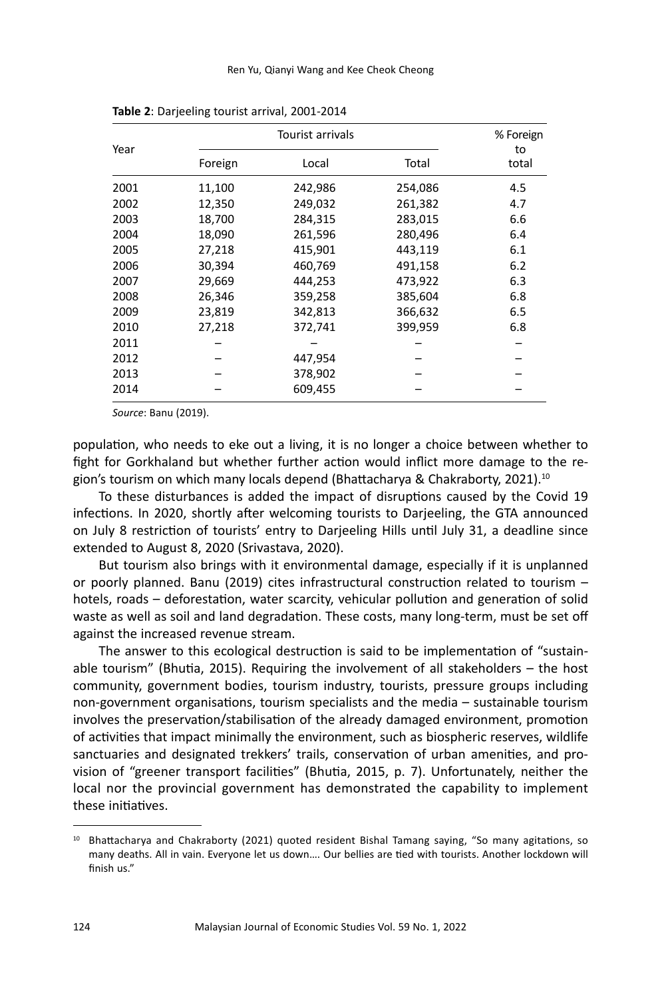| Year |         | Tourist arrivals |         |             |  |
|------|---------|------------------|---------|-------------|--|
|      | Foreign | Local            | Total   | to<br>total |  |
| 2001 | 11,100  | 242,986          | 254,086 | 4.5         |  |
| 2002 | 12,350  | 249,032          | 261,382 | 4.7         |  |
| 2003 | 18,700  | 284,315          | 283,015 | 6.6         |  |
| 2004 | 18,090  | 261,596          | 280,496 | 6.4         |  |
| 2005 | 27,218  | 415,901          | 443,119 | 6.1         |  |
| 2006 | 30,394  | 460,769          | 491,158 | 6.2         |  |
| 2007 | 29,669  | 444,253          | 473,922 | 6.3         |  |
| 2008 | 26,346  | 359,258          | 385,604 | 6.8         |  |
| 2009 | 23,819  | 342,813          | 366,632 | 6.5         |  |
| 2010 | 27,218  | 372,741          | 399,959 | 6.8         |  |
| 2011 |         |                  |         |             |  |
| 2012 |         | 447,954          |         |             |  |
| 2013 |         | 378,902          |         |             |  |
| 2014 |         | 609,455          |         |             |  |

**Table 2**: Darjeeling tourist arrival, 2001-2014

*Source*: Banu (2019).

population, who needs to eke out a living, it is no longer a choice between whether to fight for Gorkhaland but whether further action would inflict more damage to the region's tourism on which many locals depend (Bhattacharya & Chakraborty, 2021).<sup>10</sup>

To these disturbances is added the impact of disruptions caused by the Covid 19 infections. In 2020, shortly after welcoming tourists to Darjeeling, the GTA announced on July 8 restriction of tourists' entry to Darjeeling Hills until July 31, a deadline since extended to August 8, 2020 (Srivastava, 2020).

But tourism also brings with it environmental damage, especially if it is unplanned or poorly planned. Banu (2019) cites infrastructural construction related to tourism – hotels, roads – deforestation, water scarcity, vehicular pollution and generation of solid waste as well as soil and land degradation. These costs, many long-term, must be set off against the increased revenue stream.

The answer to this ecological destruction is said to be implementation of "sustainable tourism" (Bhutia, 2015). Requiring the involvement of all stakeholders – the host community, government bodies, tourism industry, tourists, pressure groups including non-government organisations, tourism specialists and the media – sustainable tourism involves the preservation/stabilisation of the already damaged environment, promotion of activities that impact minimally the environment, such as biospheric reserves, wildlife sanctuaries and designated trekkers' trails, conservation of urban amenities, and provision of "greener transport facilities" (Bhutia, 2015, p. 7). Unfortunately, neither the local nor the provincial government has demonstrated the capability to implement these initiatives.

<sup>&</sup>lt;sup>10</sup> Bhattacharya and Chakraborty (2021) quoted resident Bishal Tamang saying, "So many agitations, so many deaths. All in vain. Everyone let us down…. Our bellies are tied with tourists. Another lockdown will finish us."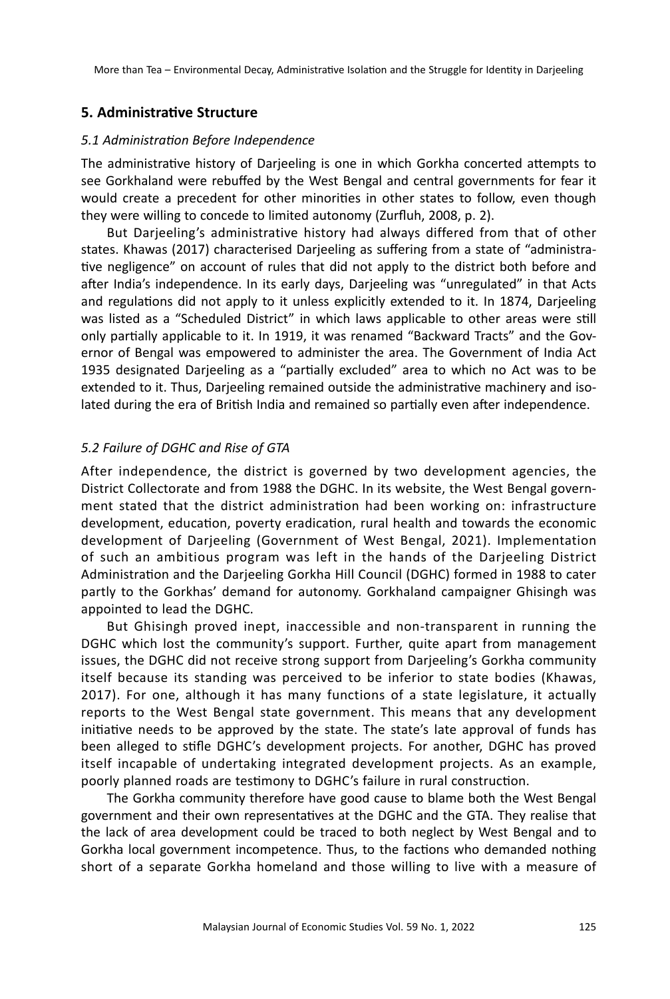## **5. Administrative Structure**

#### *5.1 Administration Before Independence*

The administrative history of Darjeeling is one in which Gorkha concerted attempts to see Gorkhaland were rebuffed by the West Bengal and central governments for fear it would create a precedent for other minorities in other states to follow, even though they were willing to concede to limited autonomy (Zurfluh, 2008, p. 2).

But Darjeeling's administrative history had always differed from that of other states. Khawas (2017) characterised Darjeeling as suffering from a state of "administrative negligence" on account of rules that did not apply to the district both before and after India's independence. In its early days, Darjeeling was "unregulated" in that Acts and regulations did not apply to it unless explicitly extended to it. In 1874, Darjeeling was listed as a "Scheduled District" in which laws applicable to other areas were still only partially applicable to it. In 1919, it was renamed "Backward Tracts" and the Governor of Bengal was empowered to administer the area. The Government of India Act 1935 designated Darjeeling as a "partially excluded" area to which no Act was to be extended to it. Thus, Darjeeling remained outside the administrative machinery and isolated during the era of British India and remained so partially even after independence.

## *5.2 Failure of DGHC and Rise of GTA*

After independence, the district is governed by two development agencies, the District Collectorate and from 1988 the DGHC. In its website, the West Bengal government stated that the district administration had been working on: infrastructure development, education, poverty eradication, rural health and towards the economic development of Darjeeling (Government of West Bengal, 2021). Implementation of such an ambitious program was left in the hands of the Darjeeling District Administration and the Darjeeling Gorkha Hill Council (DGHC) formed in 1988 to cater partly to the Gorkhas' demand for autonomy. Gorkhaland campaigner Ghisingh was appointed to lead the DGHC.

But Ghisingh proved inept, inaccessible and non-transparent in running the DGHC which lost the community's support. Further, quite apart from management issues, the DGHC did not receive strong support from Darjeeling's Gorkha community itself because its standing was perceived to be inferior to state bodies (Khawas, 2017). For one, although it has many functions of a state legislature, it actually reports to the West Bengal state government. This means that any development initiative needs to be approved by the state. The state's late approval of funds has been alleged to stifle DGHC's development projects. For another, DGHC has proved itself incapable of undertaking integrated development projects. As an example, poorly planned roads are testimony to DGHC's failure in rural construction.

The Gorkha community therefore have good cause to blame both the West Bengal government and their own representatives at the DGHC and the GTA. They realise that the lack of area development could be traced to both neglect by West Bengal and to Gorkha local government incompetence. Thus, to the factions who demanded nothing short of a separate Gorkha homeland and those willing to live with a measure of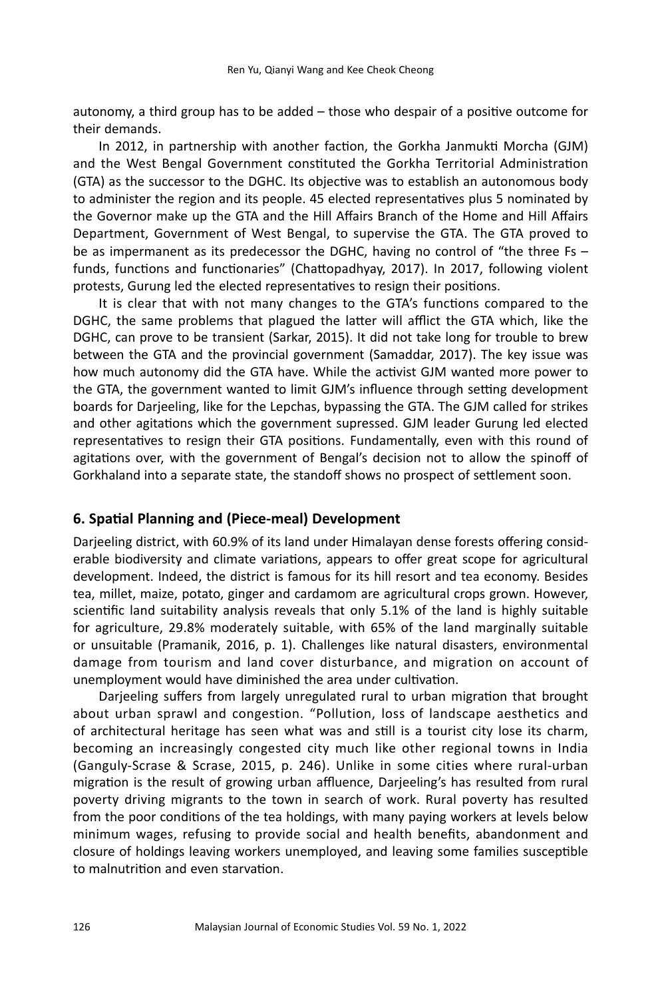autonomy, a third group has to be added – those who despair of a positive outcome for their demands.

In 2012, in partnership with another faction, the Gorkha Janmukti Morcha (GJM) and the West Bengal Government constituted the Gorkha Territorial Administration (GTA) as the successor to the DGHC. Its objective was to establish an autonomous body to administer the region and its people. 45 elected representatives plus 5 nominated by the Governor make up the GTA and the Hill Affairs Branch of the Home and Hill Affairs Department, Government of West Bengal, to supervise the GTA. The GTA proved to be as impermanent as its predecessor the DGHC, having no control of "the three Fs – funds, functions and functionaries" (Chattopadhyay, 2017). In 2017, following violent protests, Gurung led the elected representatives to resign their positions.

It is clear that with not many changes to the GTA's functions compared to the DGHC, the same problems that plagued the latter will afflict the GTA which, like the DGHC, can prove to be transient (Sarkar, 2015). It did not take long for trouble to brew between the GTA and the provincial government (Samaddar, 2017). The key issue was how much autonomy did the GTA have. While the activist GJM wanted more power to the GTA, the government wanted to limit GJM's influence through setting development boards for Darjeeling, like for the Lepchas, bypassing the GTA. The GJM called for strikes and other agitations which the government supressed. GJM leader Gurung led elected representatives to resign their GTA positions. Fundamentally, even with this round of agitations over, with the government of Bengal's decision not to allow the spinoff of Gorkhaland into a separate state, the standoff shows no prospect of settlement soon.

#### **6. Spatial Planning and (Piece-meal) Development**

Darjeeling district, with 60.9% of its land under Himalayan dense forests offering considerable biodiversity and climate variations, appears to offer great scope for agricultural development. Indeed, the district is famous for its hill resort and tea economy. Besides tea, millet, maize, potato, ginger and cardamom are agricultural crops grown. However, scientific land suitability analysis reveals that only 5.1% of the land is highly suitable for agriculture, 29.8% moderately suitable, with 65% of the land marginally suitable or unsuitable (Pramanik, 2016, p. 1). Challenges like natural disasters, environmental damage from tourism and land cover disturbance, and migration on account of unemployment would have diminished the area under cultivation.

Darjeeling suffers from largely unregulated rural to urban migration that brought about urban sprawl and congestion. "Pollution, loss of landscape aesthetics and of architectural heritage has seen what was and still is a tourist city lose its charm, becoming an increasingly congested city much like other regional towns in India (Ganguly-Scrase & Scrase, 2015, p. 246). Unlike in some cities where rural-urban migration is the result of growing urban affluence, Darjeeling's has resulted from rural poverty driving migrants to the town in search of work. Rural poverty has resulted from the poor conditions of the tea holdings, with many paying workers at levels below minimum wages, refusing to provide social and health benefits, abandonment and closure of holdings leaving workers unemployed, and leaving some families susceptible to malnutrition and even starvation.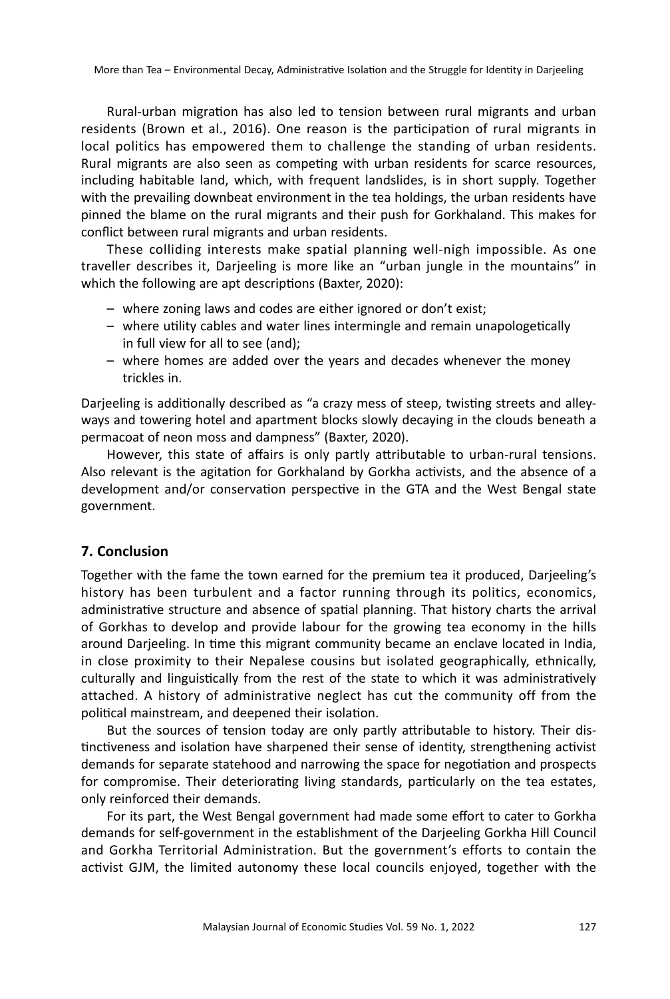Rural-urban migration has also led to tension between rural migrants and urban residents (Brown et al., 2016). One reason is the participation of rural migrants in local politics has empowered them to challenge the standing of urban residents. Rural migrants are also seen as competing with urban residents for scarce resources, including habitable land, which, with frequent landslides, is in short supply. Together with the prevailing downbeat environment in the tea holdings, the urban residents have pinned the blame on the rural migrants and their push for Gorkhaland. This makes for conflict between rural migrants and urban residents.

These colliding interests make spatial planning well-nigh impossible. As one traveller describes it, Darjeeling is more like an "urban jungle in the mountains" in which the following are apt descriptions (Baxter, 2020):

- where zoning laws and codes are either ignored or don't exist;
- where utility cables and water lines intermingle and remain unapologetically in full view for all to see (and);
- where homes are added over the years and decades whenever the money trickles in.

Darjeeling is additionally described as "a crazy mess of steep, twisting streets and alleyways and towering hotel and apartment blocks slowly decaying in the clouds beneath a permacoat of neon moss and dampness" (Baxter, 2020).

However, this state of affairs is only partly attributable to urban-rural tensions. Also relevant is the agitation for Gorkhaland by Gorkha activists, and the absence of a development and/or conservation perspective in the GTA and the West Bengal state government.

## **7. Conclusion**

Together with the fame the town earned for the premium tea it produced, Darjeeling's history has been turbulent and a factor running through its politics, economics, administrative structure and absence of spatial planning. That history charts the arrival of Gorkhas to develop and provide labour for the growing tea economy in the hills around Darjeeling. In time this migrant community became an enclave located in India, in close proximity to their Nepalese cousins but isolated geographically, ethnically, culturally and linguistically from the rest of the state to which it was administratively attached. A history of administrative neglect has cut the community off from the political mainstream, and deepened their isolation.

But the sources of tension today are only partly attributable to history. Their distinctiveness and isolation have sharpened their sense of identity, strengthening activist demands for separate statehood and narrowing the space for negotiation and prospects for compromise. Their deteriorating living standards, particularly on the tea estates, only reinforced their demands.

For its part, the West Bengal government had made some effort to cater to Gorkha demands for self-government in the establishment of the Darjeeling Gorkha Hill Council and Gorkha Territorial Administration. But the government's efforts to contain the activist GJM, the limited autonomy these local councils enjoyed, together with the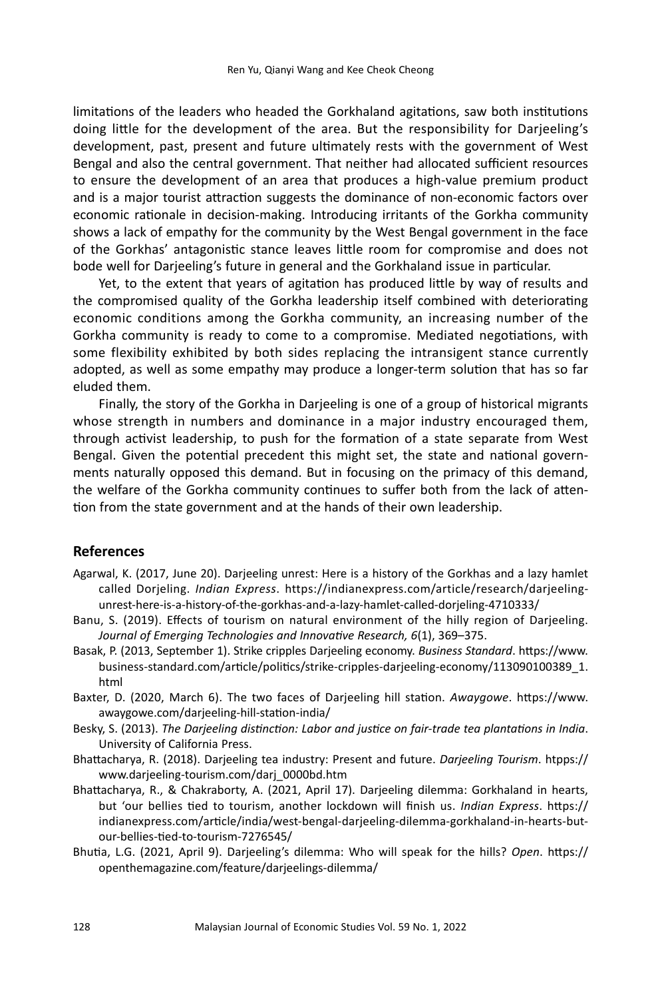limitations of the leaders who headed the Gorkhaland agitations, saw both institutions doing little for the development of the area. But the responsibility for Darjeeling's development, past, present and future ultimately rests with the government of West Bengal and also the central government. That neither had allocated sufficient resources to ensure the development of an area that produces a high-value premium product and is a major tourist attraction suggests the dominance of non-economic factors over economic rationale in decision-making. Introducing irritants of the Gorkha community shows a lack of empathy for the community by the West Bengal government in the face of the Gorkhas' antagonistic stance leaves little room for compromise and does not bode well for Darjeeling's future in general and the Gorkhaland issue in particular.

Yet, to the extent that years of agitation has produced little by way of results and the compromised quality of the Gorkha leadership itself combined with deteriorating economic conditions among the Gorkha community, an increasing number of the Gorkha community is ready to come to a compromise. Mediated negotiations, with some flexibility exhibited by both sides replacing the intransigent stance currently adopted, as well as some empathy may produce a longer-term solution that has so far eluded them.

Finally, the story of the Gorkha in Darjeeling is one of a group of historical migrants whose strength in numbers and dominance in a major industry encouraged them, through activist leadership, to push for the formation of a state separate from West Bengal. Given the potential precedent this might set, the state and national governments naturally opposed this demand. But in focusing on the primacy of this demand, the welfare of the Gorkha community continues to suffer both from the lack of attention from the state government and at the hands of their own leadership.

#### **References**

- Agarwal, K. (2017, June 20). Darjeeling unrest: Here is a history of the Gorkhas and a lazy hamlet called Dorjeling. *Indian Express*. https://indianexpress.com/article/research/darjeelingunrest-here-is-a-history-of-the-gorkhas-and-a-lazy-hamlet-called-dorjeling-4710333/
- Banu, S. (2019). Effects of tourism on natural environment of the hilly region of Darjeeling. *Journal of Emerging Technologies and Innovative Research, 6*(1), 369–375.
- Basak, P. (2013, September 1). Strike cripples Darjeeling economy. *Business Standard*. https://www. business-standard.com/article/politics/strike-cripples-darjeeling-economy/113090100389\_1. html
- Baxter, D. (2020, March 6). The two faces of Darjeeling hill station. *Awaygowe*. https://www. awaygowe.com/darjeeling-hill-station-india/
- Besky, S. (2013). *The Darjeeling distinction: Labor and justice on fair-trade tea plantations in India*. University of California Press.
- Bhattacharya, R. (2018). Darjeeling tea industry: Present and future. *Darjeeling Tourism*. htpps:// www.darjeeling-tourism.com/darj\_0000bd.htm
- Bhattacharya, R., & Chakraborty, A. (2021, April 17). Darjeeling dilemma: Gorkhaland in hearts, but 'our bellies tied to tourism, another lockdown will finish us. *Indian Express*. https:// indianexpress.com/article/india/west-bengal-darjeeling-dilemma-gorkhaland-in-hearts-butour-bellies-tied-to-tourism-7276545/
- Bhutia, L.G. (2021, April 9). Darjeeling's dilemma: Who will speak for the hills? *Open*. https:// openthemagazine.com/feature/darjeelings-dilemma/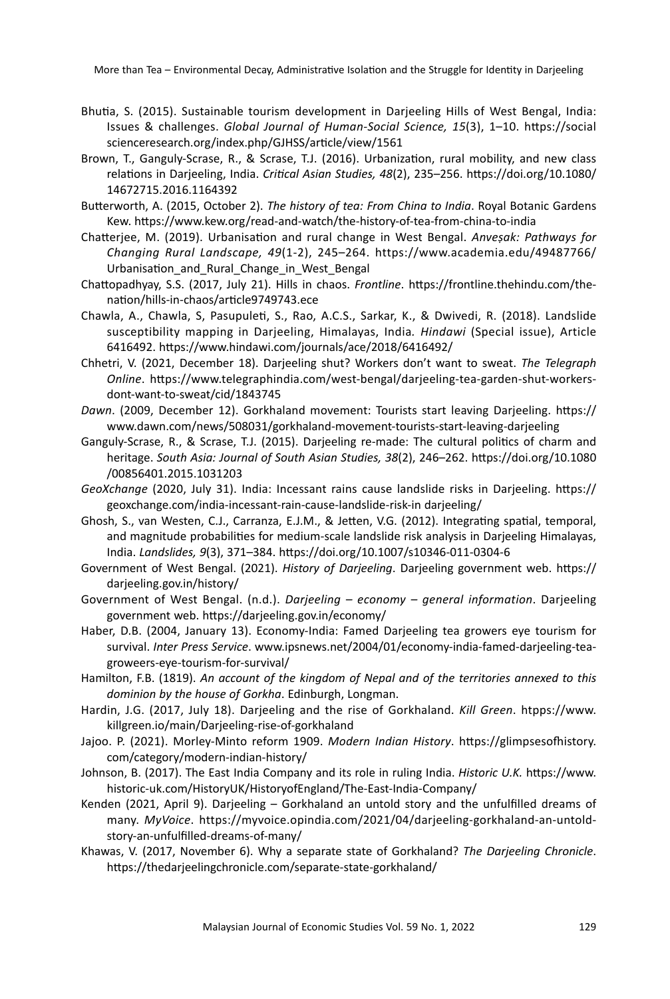- Bhutia, S. (2015). Sustainable tourism development in Darjeeling Hills of West Bengal, India: Issues & challenges. *Global Journal of Human-Social Science, 15*(3), 1–10. https://social scienceresearch.org/index.php/GJHSS/article/view/1561
- Brown, T., Ganguly-Scrase, R., & Scrase, T.J. (2016). Urbanization, rural mobility, and new class relations in Darjeeling, India. *Critical Asian Studies, 48*(2), 235–256. https://doi.org/10.1080/ 14672715.2016.1164392
- Butterworth, A. (2015, October 2). *The history of tea: From China to India*. Royal Botanic Gardens Kew. https://www.kew.org/read-and-watch/the-history-of-tea-from-china-to-india
- Chatterjee, M. (2019). Urbanisation and rural change in West Bengal. *Anveṣak: Pathways for Changing Rural Landscape, 49*(1-2), 245–264. https://www.academia.edu/49487766/ Urbanisation and Rural Change in West Bengal
- Chattopadhyay, S.S. (2017, July 21). Hills in chaos. *Frontline*. https://frontline.thehindu.com/thenation/hills-in-chaos/article9749743.ece
- Chawla, A., Chawla, S, Pasupuleti, S., Rao, A.C.S., Sarkar, K., & Dwivedi, R. (2018). Landslide susceptibility mapping in Darjeeling, Himalayas, India*. Hindawi* (Special issue), Article 6416492. https://www.hindawi.com/journals/ace/2018/6416492/
- Chhetri, V. (2021, December 18). Darjeeling shut? Workers don't want to sweat. *The Telegraph Online*. https://www.telegraphindia.com/west-bengal/darjeeling-tea-garden-shut-workersdont-want-to-sweat/cid/1843745
- *Dawn*. (2009, December 12). Gorkhaland movement: Tourists start leaving Darjeeling. https:// www.dawn.com/news/508031/gorkhaland-movement-tourists-start-leaving-darjeeling
- Ganguly-Scrase, R., & Scrase, T.J. (2015). Darjeeling re-made: The cultural politics of charm and heritage. *South Asia: Journal of South Asian Studies, 38*(2), 246–262. https://doi.org/10.1080 /00856401.2015.1031203
- *GeoXchange* (2020, July 31). India: Incessant rains cause landslide risks in Darjeeling. https:// geoxchange.com/india-incessant-rain-cause-landslide-risk-in darjeeling/
- Ghosh, S., van Westen, C.J., Carranza, E.J.M., & Jetten, V.G. (2012). Integrating spatial, temporal, and magnitude probabilities for medium-scale landslide risk analysis in Darjeeling Himalayas, India. *Landslides, 9*(3), 371–384. https://doi.org/10.1007/s10346-011-0304-6
- Government of West Bengal. (2021). *History of Darjeeling*. Darjeeling government web. https:// darjeeling.gov.in/history/
- Government of West Bengal. (n.d.). *Darjeeling economy general information*. Darjeeling government web. https://darjeeling.gov.in/economy/
- Haber, D.B. (2004, January 13). Economy-India: Famed Darjeeling tea growers eye tourism for survival. *Inter Press Service*. www.ipsnews.net/2004/01/economy-india-famed-darjeeling-teagroweers-eye-tourism-for-survival/
- Hamilton, F.B. (1819). *An account of the kingdom of Nepal and of the territories annexed to this dominion by the house of Gorkha*. Edinburgh, Longman.
- Hardin, J.G. (2017, July 18). Darjeeling and the rise of Gorkhaland. *Kill Green*. htpps://www. killgreen.io/main/Darjeeling-rise-of-gorkhaland
- Jajoo. P. (2021). Morley-Minto reform 1909. *Modern Indian History*. https://glimpsesofhistory. com/category/modern-indian-history/
- Johnson, B. (2017). The East India Company and its role in ruling India. *Historic U.K.* https://www. historic-uk.com/HistoryUK/HistoryofEngland/The-East-India-Company/
- Kenden (2021, April 9). Darjeeling Gorkhaland an untold story and the unfulfilled dreams of many. *MyVoice*. https://myvoice.opindia.com/2021/04/darjeeling-gorkhaland-an-untoldstory-an-unfulfilled-dreams-of-many/
- Khawas, V. (2017, November 6). Why a separate state of Gorkhaland? *The Darjeeling Chronicle*. https://thedarjeelingchronicle.com/separate-state-gorkhaland/